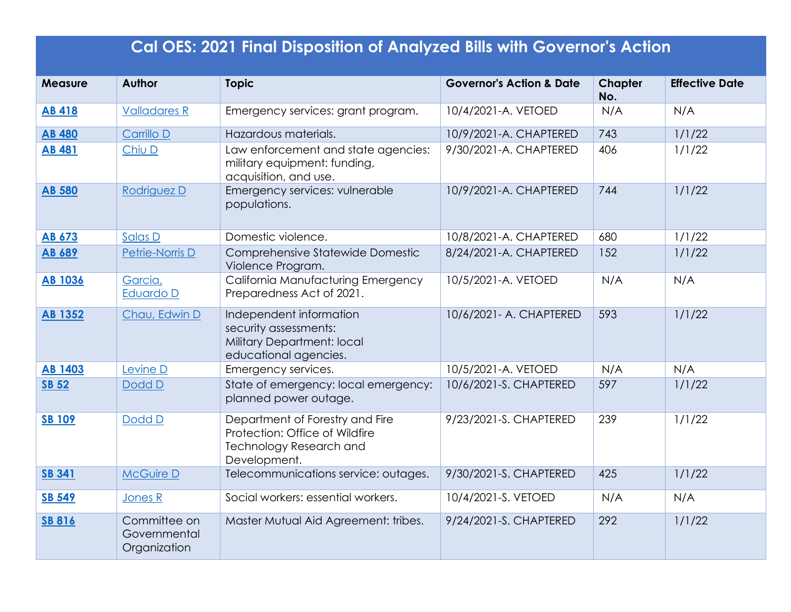| <b>Cal OES: 2021 Final Disposition of Analyzed Bills with Governor's Action</b> |                                              |                                                                                                                     |                                     |                       |                       |
|---------------------------------------------------------------------------------|----------------------------------------------|---------------------------------------------------------------------------------------------------------------------|-------------------------------------|-----------------------|-----------------------|
| <b>Measure</b>                                                                  | Author                                       | <b>Topic</b>                                                                                                        | <b>Governor's Action &amp; Date</b> | <b>Chapter</b><br>No. | <b>Effective Date</b> |
| <b>AB 418</b>                                                                   | <b>Valladares R</b>                          | Emergency services: grant program.                                                                                  | 10/4/2021-A. VETOED                 | N/A                   | N/A                   |
| <b>AB 480</b>                                                                   | Carrillo D                                   | Hazardous materials.                                                                                                | 10/9/2021-A. CHAPTERED              | 743                   | 1/1/22                |
| <b>AB 481</b>                                                                   | Chiu D                                       | Law enforcement and state agencies:<br>military equipment: funding,<br>acquisition, and use.                        | 9/30/2021-A. CHAPTERED              | 406                   | 1/1/22                |
| <b>AB 580</b>                                                                   | Rodriguez D                                  | Emergency services: vulnerable<br>populations.                                                                      | 10/9/2021-A. CHAPTERED              | 744                   | 1/1/22                |
| <b>AB 673</b>                                                                   | Salas D                                      | Domestic violence.                                                                                                  | 10/8/2021-A. CHAPTERED              | 680                   | 1/1/22                |
| AB 689                                                                          | Petrie-Norris D                              | Comprehensive Statewide Domestic<br>Violence Program.                                                               | 8/24/2021-A. CHAPTERED              | 152                   | 1/1/22                |
| <b>AB 1036</b>                                                                  | Garcia,<br>Eduardo D                         | California Manufacturing Emergency<br>Preparedness Act of 2021.                                                     | 10/5/2021-A. VETOED                 | N/A                   | N/A                   |
| <b>AB 1352</b>                                                                  | Chau, Edwin D                                | Independent information<br>security assessments:<br>Military Department: local<br>educational agencies.             | 10/6/2021- A. CHAPTERED             | 593                   | 1/1/22                |
| <b>AB 1403</b>                                                                  | Levine D                                     | Emergency services.                                                                                                 | 10/5/2021-A. VETOED                 | N/A                   | N/A                   |
| <b>SB 52</b>                                                                    | Dodd D                                       | State of emergency: local emergency:<br>planned power outage.                                                       | 10/6/2021-S. CHAPTERED              | 597                   | 1/1/22                |
| <b>SB 109</b>                                                                   | Dodd D                                       | Department of Forestry and Fire<br>Protection: Office of Wildfire<br><b>Technology Research and</b><br>Development. | 9/23/2021-S. CHAPTERED              | 239                   | 1/1/22                |
| <b>SB 341</b>                                                                   | <b>McGuire D</b>                             | Telecommunications service: outages.                                                                                | 9/30/2021-S. CHAPTERED              | 425                   | 1/1/22                |
| <b>SB 549</b>                                                                   | Jones R                                      | Social workers: essential workers.                                                                                  | 10/4/2021-S. VETOED                 | N/A                   | N/A                   |
| <b>SB 816</b>                                                                   | Committee on<br>Governmental<br>Organization | Master Mutual Aid Agreement: tribes.                                                                                | 9/24/2021-S. CHAPTERED              | 292                   | 1/1/22                |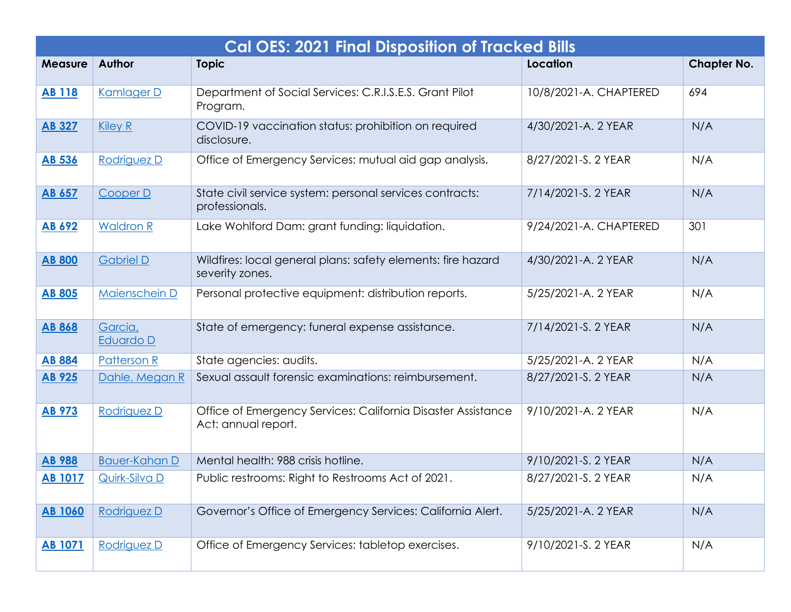| <b>Cal OES: 2021 Final Disposition of Tracked Bills</b> |                      |                                                                                     |                        |                    |
|---------------------------------------------------------|----------------------|-------------------------------------------------------------------------------------|------------------------|--------------------|
| <b>Measure</b>                                          | Author               | <b>Topic</b>                                                                        | Location               | <b>Chapter No.</b> |
| <b>AB 118</b>                                           | Kamlager D           | Department of Social Services: C.R.I.S.E.S. Grant Pilot<br>Program.                 | 10/8/2021-A. CHAPTERED | 694                |
| <b>AB 327</b>                                           | <b>Kiley R</b>       | COVID-19 vaccination status: prohibition on required<br>disclosure.                 | 4/30/2021-A. 2 YEAR    | N/A                |
| <b>AB 536</b>                                           | Rodriguez D          | Office of Emergency Services: mutual aid gap analysis.                              | 8/27/2021-S. 2 YEAR    | N/A                |
| <b>AB 657</b>                                           | Cooper D             | State civil service system: personal services contracts:<br>professionals.          | 7/14/2021-S. 2 YEAR    | N/A                |
| <b>AB 692</b>                                           | <b>Waldron R</b>     | Lake Wohlford Dam: grant funding: liquidation.                                      | 9/24/2021-A. CHAPTERED | 301                |
| <b>AB 800</b>                                           | <b>Gabriel D</b>     | Wildfires: local general plans: safety elements: fire hazard<br>severity zones.     | 4/30/2021-A. 2 YEAR    | N/A                |
| <b>AB 805</b>                                           | Maienschein D        | Personal protective equipment: distribution reports.                                | 5/25/2021-A. 2 YEAR    | N/A                |
| <b>AB 868</b>                                           | Garcia,<br>Eduardo D | State of emergency: funeral expense assistance.                                     | 7/14/2021-S. 2 YEAR    | N/A                |
| <b>AB 884</b>                                           | <b>Patterson R</b>   | State agencies: audits.                                                             | 5/25/2021-A. 2 YEAR    | N/A                |
| <b>AB 925</b>                                           | Dahle, Megan R       | Sexual assault forensic examinations: reimbursement.                                | 8/27/2021-S. 2 YEAR    | N/A                |
| <b>AB 973</b>                                           | Rodriguez D          | Office of Emergency Services: California Disaster Assistance<br>Act: annual report. | 9/10/2021-A. 2 YEAR    | N/A                |
| <b>AB 988</b>                                           | <b>Bauer-Kahan D</b> | Mental health: 988 crisis hotline.                                                  | 9/10/2021-S. 2 YEAR    | N/A                |
| <b>AB 1017</b>                                          | Quirk-Silva D        | Public restrooms: Right to Restrooms Act of 2021.                                   | 8/27/2021-S. 2 YEAR    | N/A                |
| <b>AB 1060</b>                                          | Rodriguez D          | Governor's Office of Emergency Services: California Alert.                          | 5/25/2021-A. 2 YEAR    | N/A                |
| <b>AB 1071</b>                                          | Rodriguez D          | Office of Emergency Services: tabletop exercises.                                   | 9/10/2021-S. 2 YEAR    | N/A                |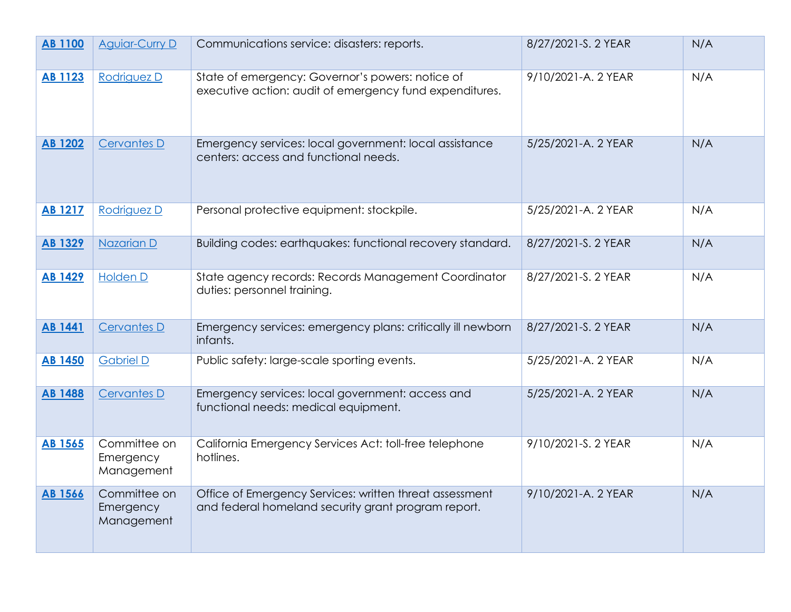| <b>AB 1100</b> | <b>Aguiar-Curry D</b>                   | Communications service: disasters: reports.                                                                    | 8/27/2021-S. 2 YEAR | N/A |
|----------------|-----------------------------------------|----------------------------------------------------------------------------------------------------------------|---------------------|-----|
| <b>AB 1123</b> | Rodriguez D                             | State of emergency: Governor's powers: notice of<br>executive action: audit of emergency fund expenditures.    | 9/10/2021-A. 2 YEAR | N/A |
| <b>AB 1202</b> | <b>Cervantes D</b>                      | Emergency services: local government: local assistance<br>centers: access and functional needs.                | 5/25/2021-A. 2 YEAR | N/A |
| <b>AB 1217</b> | Rodriguez D                             | Personal protective equipment: stockpile.                                                                      | 5/25/2021-A. 2 YEAR | N/A |
| <b>AB 1329</b> | Nazarian D                              | Building codes: earthquakes: functional recovery standard.                                                     | 8/27/2021-S. 2 YEAR | N/A |
| <b>AB 1429</b> | <b>Holden D</b>                         | State agency records: Records Management Coordinator<br>duties: personnel training.                            | 8/27/2021-S. 2 YEAR | N/A |
| <b>AB 1441</b> | <b>Cervantes D</b>                      | Emergency services: emergency plans: critically ill newborn<br>infants.                                        | 8/27/2021-S. 2 YEAR | N/A |
| <b>AB 1450</b> | <b>Gabriel D</b>                        | Public safety: large-scale sporting events.                                                                    | 5/25/2021-A. 2 YEAR | N/A |
| <b>AB 1488</b> | <b>Cervantes D</b>                      | Emergency services: local government: access and<br>functional needs: medical equipment.                       | 5/25/2021-A. 2 YEAR | N/A |
| <b>AB 1565</b> | Committee on<br>Emergency<br>Management | California Emergency Services Act: toll-free telephone<br>hotlines.                                            | 9/10/2021-S. 2 YEAR | N/A |
| <b>AB 1566</b> | Committee on<br>Emergency<br>Management | Office of Emergency Services: written threat assessment<br>and federal homeland security grant program report. | 9/10/2021-A. 2 YEAR | N/A |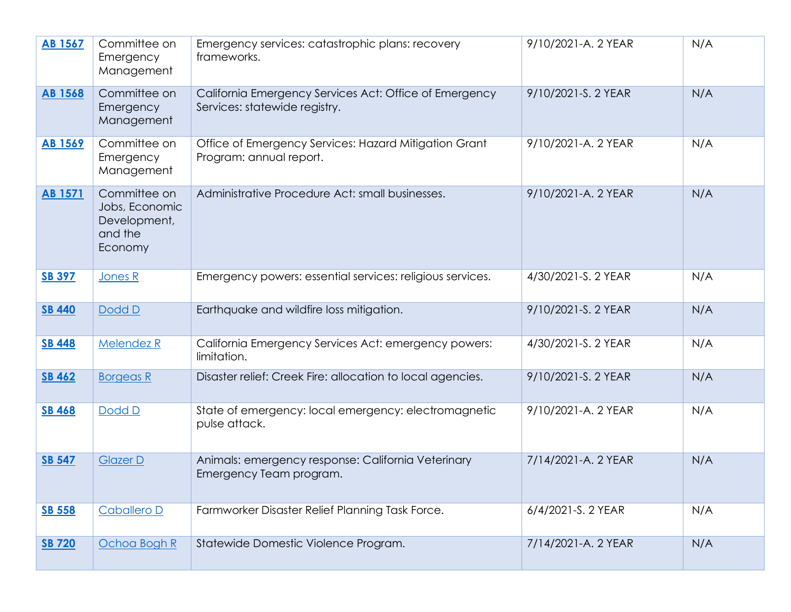| <b>AB 1567</b> | Committee on<br>Emergency<br>Management                              | Emergency services: catastrophic plans: recovery<br>frameworks.                         | 9/10/2021-A. 2 YEAR | N/A |
|----------------|----------------------------------------------------------------------|-----------------------------------------------------------------------------------------|---------------------|-----|
| <b>AB 1568</b> | Committee on<br>Emergency<br>Management                              | California Emergency Services Act: Office of Emergency<br>Services: statewide registry. | 9/10/2021-S. 2 YEAR | N/A |
| <b>AB 1569</b> | Committee on<br>Emergency<br>Management                              | Office of Emergency Services: Hazard Mitigation Grant<br>Program: annual report.        | 9/10/2021-A. 2 YEAR | N/A |
| <b>AB 1571</b> | Committee on<br>Jobs, Economic<br>Development,<br>and the<br>Economy | Administrative Procedure Act: small businesses.                                         | 9/10/2021-A. 2 YEAR | N/A |
| <b>SB 397</b>  | Jones R                                                              | Emergency powers: essential services: religious services.                               | 4/30/2021-S. 2 YEAR | N/A |
| <b>SB 440</b>  | Dodd D                                                               | Earthquake and wildfire loss mitigation.                                                | 9/10/2021-S. 2 YEAR | N/A |
| <b>SB 448</b>  | Melendez R                                                           | California Emergency Services Act: emergency powers:<br>limitation.                     | 4/30/2021-S. 2 YEAR | N/A |
| <b>SB 462</b>  | <b>Borgeas R</b>                                                     | Disaster relief: Creek Fire: allocation to local agencies.                              | 9/10/2021-S. 2 YEAR | N/A |
| <b>SB 468</b>  | Dodd D                                                               | State of emergency: local emergency: electromagnetic<br>pulse attack.                   | 9/10/2021-A. 2 YEAR | N/A |
| <b>SB 547</b>  | <b>Glazer D</b>                                                      | Animals: emergency response: California Veterinary<br>Emergency Team program.           | 7/14/2021-A. 2 YEAR | N/A |
| <b>SB 558</b>  | Caballero D                                                          | Farmworker Disaster Relief Planning Task Force.                                         | 6/4/2021-S. 2 YEAR  | N/A |
| <b>SB 720</b>  | Ochoa Bogh R                                                         | Statewide Domestic Violence Program.                                                    | 7/14/2021-A. 2 YEAR | N/A |